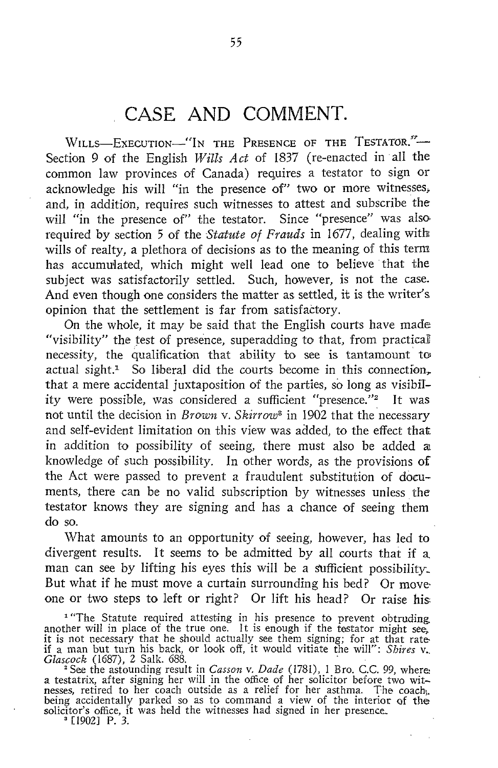## CASE AND COMMENT.

WILLS-EXECUTION-"IN THE PRESENCE OF THE TESTATOR."-Section 9 of the English Wills Act of 1837 (re-enacted in all the common law provinces of Canada) requires a testator to sign or acknowledge his will "in the presence of" two or more witnesses, and, in addition, requires such witnesses to attest and subscribe the will "in the presence of" the testator. Since "presence" was also required by section 5 of the Statute of Frauds in 1677, dealing with: wills of realty, a plethora of decisions as to the meaning of this term has accumulated, which might well lead one to believe that the subject was satisfactorily settled. Such, however, is not the case. And even though one considers the matter as settled, it is the writer's opinion that the settlement is far from satisfactory.

On the whole, it may be said that the English courts have made "visibility" the test of presence, superadding to that, from practical necessity, the qualification that ability to see is tantamount to. actual sight.<sup> $1$ </sup> So liberal did the courts become in this connection. that a mere accidental juxtaposition of the parties, so long as visibility were possible, was considered a sufficient "presence."<sup>2</sup> It was not until the decision in *Brown* v. Skirrow<sup>3</sup> in 1902 that the necessary and self-evident limitation on this view was added, to the effect that in addition to possibility of seeing, there must also be added a knowledge of such possibility. In other words, as the provisions of the Act were passed to prevent a fraudulent substitution of documents, there can be no valid subscription by witnesses unless the testator knows they are signing and has a chance of seeing them do so.

What amounts to an opportunity of seeing, however, has led to divergent results. It seems to be admitted by all courts that if a man can see by lifting his eyes this will be a sufficient possibility-But what if he must move a curtain surrounding his bed? Or move one or two steps to left or right? Or lift his head? Or raise his

"The Statute required attesting in his presence to prevent obtruding another will in place of the true one. It is enough if the testator might see; it is not necessary that he should actually see them signing; for at that rate-<br>if a man but turn his back, or look off, it would vitiate the will": *Shires v.*<br>Glascock (1687), 2 Salk. 688.

<sup>2</sup> See the astounding result in *Casson v. Dade* (1781), 1 Bro. C.C. 99, where a testatrix, after signing her will in the office of her solicitor before two wit-<br>a testatrix, after signing her will in the office of her so being accidentally parked so as to command <sup>a</sup> view of the interior of the solicitor's office, it was held the witnesses had signed in her presence.<br><sup>"</sup> [1902] P. 3.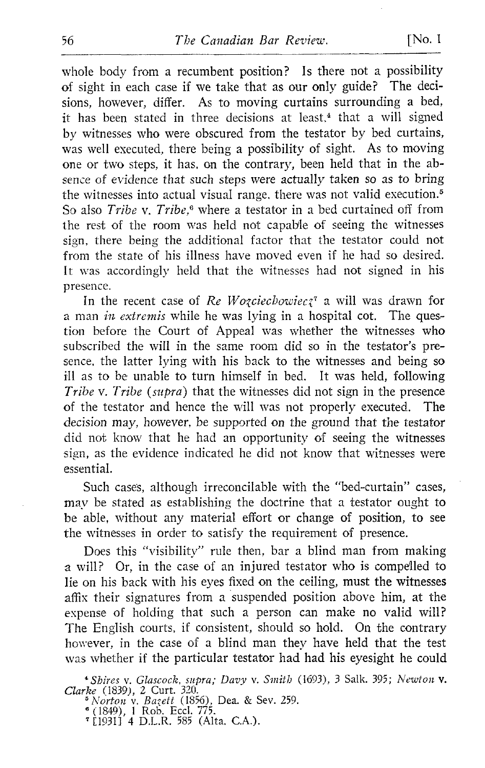whole body from a recumbent position? Is there not a possibility of sight in each case if we take that as our only guide? The decisions, however, differ. As to moving curtains surrounding a bed, it has been stated in three decisions at least,<sup> $*$ </sup> that a will signed by witnesses who were obscured from the testator by bed curtains, was well executed, there being a possibility of sight. As to moving one or two steps, it has, on the contrary, been held that in the absence of evidence that such steps were actually taken so as to bring the witnesses into actual visual range, there was not valid execution.<sup>5</sup> So also *Tribe* v. *Tribe*.<sup>6</sup> where a testator in a bed curtained off from the rest of the room was held not capable of seeing the witnesses sign, there being the additional factor that the testator could not from the state of his illness have moved even if he had so desired. It was accordingly held that the witnesses had not signed in his presence.

In the recent case of Re Wozciechowiecz<sup> $\tau$ </sup> a will was drawn for a man in extremis while he was lying in a hospital cot. The question before the Court of Appeal was whether the witnesses who subscribed the will in the same room did so in the testator's presence, the latter lying with his back to the witnesses and being so ill as to be unable to turn himself in bed. It was held, following Tribe v. Tribe (supra) that the witnesses did not sign in the presence of the testator and hence the will was not properly executed. The decision may, however, be supported on the ground that the testator did not know that he had an opportunity of seeing the witnesses sign, as the evidence indicated he did not know that witnesses were essential.

Such cases, although irreconcilable with the "bed-curtain" cases, may be stated as establishing the doctrine that <sup>a</sup> testator ought to be able, without any material effort or change of position, to see the witnesses in order to satisfy the requirement of presence.

Does this "visibility" rule then, bar <sup>a</sup> blind man from making <sup>a</sup> will? Or, in the case of an injured testator who is compelled to lie on his back with his eyes fixed on the ceiling, must the witnesses affix their signatures from a suspended position above him, at the expense of holding that such <sup>a</sup> person can make no valid will? The English courts, if consistent, should so hold. On the contrary however, in the case of <sup>a</sup> blind man they have held that the test was whether if the particular testator had had his eyesight he could

<sup>4</sup> Shires v. Glascock, supra; Davy v. Smith (1693), 3 Salk. 395; Newton **v.** 

*Clarke* (1839), 2 Curt. 320.<br><sup>8</sup> Norton v. Ba;ett (1856), Dea. & Sev. 259.

<sup>6</sup> (1849), 1 Rob. Eccl. 775.<br><sup>7</sup> [1931] 4 D.L.R. 585 (Alta, C.A.).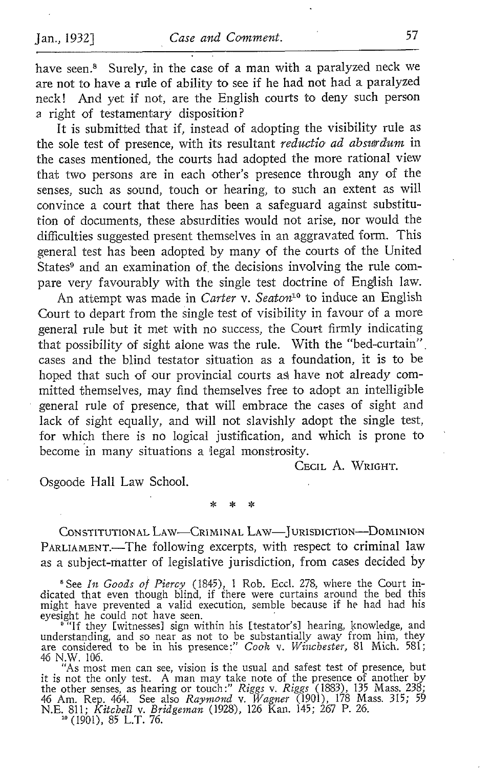have seen.<sup>8</sup> Surely, in the case of a man with a paralyzed neck we are not to have a rule of ability to see if he had not had a paralyzed neck! And yet if not, are the English courts to deny such person a right of testamentary disposition?

It is submitted that if, instead of adopting the visibility rule as the sole test of presence, with its resultant *reductio ad absurdum* in the cases mentioned, the courts had adopted the more rational view that two persons are in each other's presence through any of the senses, such as sound, touch or hearing, to such an extent as will convince a court that there has been a safeguard against substitution of documents, these absurdities would not arise, nor would the difficulties suggested present themselves in an aggravated form. This general test has been adopted by many of the courts of the United States<sup>9</sup> and an examination of the decisions involving the rule compare very favourably with the single test doctrine of English law.

An attempt was made in Carter v. Seaton<sup>10</sup> to induce an English Court to depart from the single test of visibility in favour of <sup>a</sup> more general rule but it met with no success, the Court firmly indicating that possibility of sight alone was the rule. With the "bed-curtain" cases and the blind testator situation as a foundation, it is to be hoped that such of our provincial courts as have not already committed themselves, may find themselves free to adopt an intelligible general rule of presence, that will embrace the cases of sight and lack of sight equally, and will not slavishly adopt the single test, for which there is no logical justification, and which is prone to become in many situations a legal monstrosity.

CECIL A. WRIGHT.

Osgoode Hall Law School.

**sk** 

CONSTITUTIONAL LAW—CRIMINAL LAW—JURISDICTION—DOMINION PARLIAMENT.-The following excerpts, with respect to criminal law as <sup>a</sup> subject-matter of legislative jurisdiction, from cases decided by

See In Goods of Piercy (1845), 1 Rob. Eccl. 278, where the Court indicated that even though blind, if there were curtains around the bed this might have prevented a valid execution, semble because if he had had his

eyesight he could not have seen.<br>"If they [witnesses] sign within his [testator's] hearing, knowledge, and understanding, and so near as not to be substantially away from him, they are considered to be in his presence:" Cook v. Winchester, 81 Mich. 581;<br>46 N.W. 196

46 N.W. 106. "As most men can see, vision is the usual and safest test of presence, but<br>it is not the only test. A man may take note of the presence of another by<br>it is not the other senses, as hearing or touch:" Riggs v.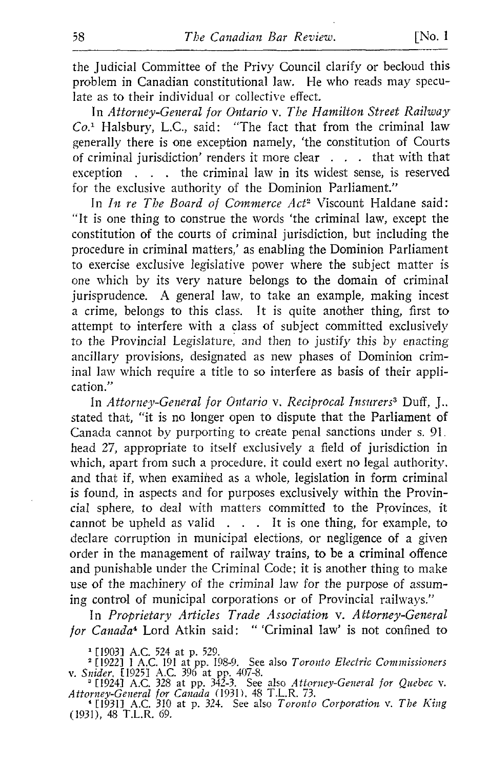the Judicial Committee of the Privy Council clarify or becloud this problem in Canadian constitutional law. He who reads may speculate as to their individual or collective effect.

In Attorney-General for Ontario v. The Hamilton Street Railway  $Co<sup>1</sup>$  Halsbury, L.C., said: "The fact that from the criminal law generally there is one exception namely, 'the constitution of Courts of criminal jurisdiction' renders it more clear . . . that with that exception . . . the criminal law in its widest sense, is reserved for the exclusive authority of the Dominion Parliament."

In In re The Board of Commerce Act<sup>2</sup> Viscount Haldane said: "It is one thing to construe the words `the criminal law, except the constitution of the courts of criminal jurisdiction, but including the procedure in criminal matters,' as enabling the Dominion Parliament to exercise exclusive legislative power where the subject matter is one which by its very nature belongs to the domain of criminal jurisprudence. A general law, to take an example, making incest a crime, belongs to this class. It is quite another thing, first to attempt to interfere with a class of subject committed exclusively to the Provincial Legislature, and then to justify this by enacting ancillary provisions, designated as new phases of Dominion criminal law which require a title to so interfere as basis of their application ."

In Attorney-General for Ontario v. Reciprocal Insurers<sup>3</sup> Duff, J., stated that, "it is no longer open to dispute that the Parliament of Canada cannot by purporting to create penal sanctions under s. 91 . head 27, appropriate to itself exclusively a field of jurisdiction in which, apart from such a procedure, it could exert no legal authority, and that if, when examined as a whole, legislation in form criminal is found, in aspects and for purposes exclusively within the Provincial sphere, to deal with matters committed to the Provinces, it cannot be upheld as valid  $\ldots$  . It is one thing, for example, to declare corruption in municipal elections, or negligence of a given order in the management of railway trains, to be a criminal offence and punishable under the Criminal Code; it is another thing to make use of the machinery of the criminal law for the purpose of assuming control of municipal corporations or of Provincial railways ."

In Proprietary Articles Trade Association v. Attorney-General for Canada<sup>4</sup> Lord Atkin said: " 'Criminal law' is not confined to

<sup>1</sup> [1903] A.C. 524 at p. 529. [1903] A.C. 524 at p. 529.

<sup>2</sup> [1922] 1 A.C. 191 at pp. 198-9. See also *Toronto Electric Commissioners*<br>uiday [1925] A.C. 396 at pp. 497.8

v. Snider, [1925] A.C. 396 at pp. 407-8.<br>
<sup>3</sup> [1924] A.C. 328 at pp. 342-3. See also *Attorney-General for Quebec v.*<br> *Attorney-General for Canada* (1931), 48 T.L.R. 73.<br>
<sup>4</sup> [1931] A.C. 310 at p. 324. See also *Toronto C* 

(1931), 48 T.L.R. 69.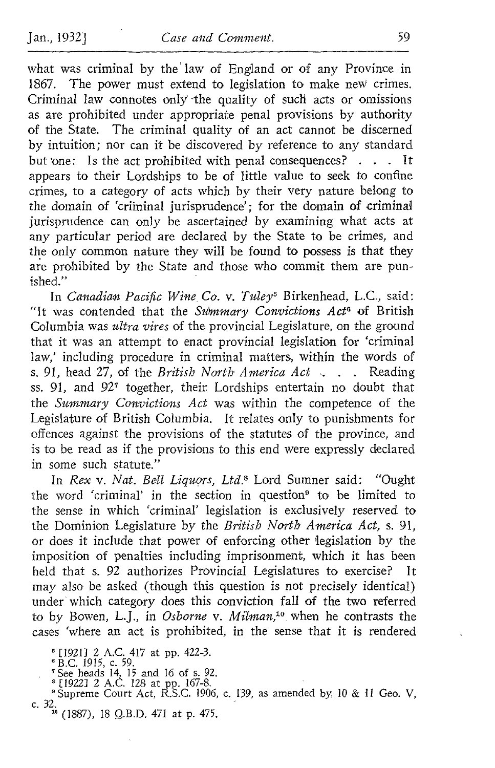what was criminal by the' law of England or of any Province in 1867. The power must extend to legislation to make new crimes. Criminal law connotes only -the quality of such acts or omissions as are prohibited under appropriate penal provisions by authority of the State. The criminal quality of an act cannot be discerned by intuition; nor can it be discovered by reference to any standard but one: Is the act prohibited with penal consequences?  $\cdot$  . . It appears to their Lordships to be of little value to seek to confine crimes, to a category of acts which by their very nature belong to the domain of 'criminal jurisprudence': for the domain of criminal jurisprudence can only be ascertained by examining what acts at any particular period are declared by the State to be crimes, and the only common nature they will be found to possess is that they are prohibited by the State and those who commit them are punished."

In Canadian Pacific Wine Co. v. Tuley<sup>5</sup> Birkenhead, L.C., said: "It was contended that the Summary Convictions  $Act^6$  of British Columbia was ultra wires of the provincial Legislature, on the ground that it was an attempt to enact provincial legislation for `criminal law,' including procedure in criminal matters, within the words of s, 91, head 27, of the British North America Act . . . Reading ss. 91, and 92<sup>7</sup> together, their. Lordships entertain no doubt that the Summary Convictions Act was within the competence of the Legislature of British Columbia. It relates only to punishments for offences against the provisions of the statutes of the province, and is to be read as if the provisions to this end were expressly declared in some such statute."

In Rex v. Nat. Bell Liquors, Ltd.<sup>8</sup> Lord Sumner said: "Ought the word 'criminal' in the section in question<sup>9</sup> to be limited to the sense in which `criminal' legislation is exclusively reserved to the Dominion Legislature by the British North America Act, s. 91, or does it include that power of enforcing other legislation by the imposition of penalties including imprisonment, which it has been<br>held that s. 92 authorizes Provincial Legislatures to exercise? It held that s. 92 authorizes Provincial Legislatures to exercise? may also be asked (though this question is not precisely identical) under which category does this conviction fall of the two referred to by Bowen, L.J., in Osborne v. Milman,<sup>10</sup> when he contrasts the cases `where an act is prohibited, in the sense that it is rendered

<sup>5</sup> [1921] 2 A.C. 417 at pp. 422-3.<br><sup>6</sup> B.C. 1915, c. 59.<br><sup>7</sup> See heads 14, 15 and 16 of s. 92.<br><sup>5</sup> [1922] 2 A.C. 128 at pp. 167-8.<br><sup>8</sup> Superfact pp. 6, 1006

<sup>9</sup> Supreme Court Act, R.S.C. 1906, c. 139, as amended by 10 & 11 Geo. V,

c. 32.<br><sup>10</sup> (1887), 18 Q.B.D. 471 at p. 475.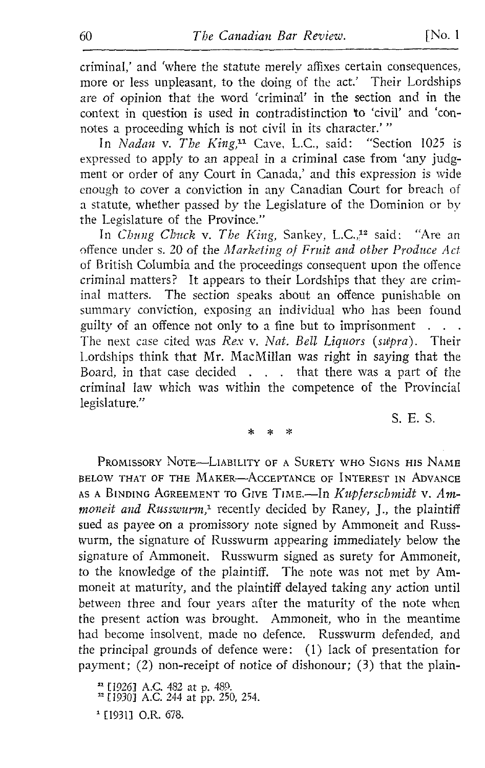criminal,' and `where the statute merely affixes certain consequences, more or less unpleasant, to the doing of the act.' Their Lordships are of opinion that the word 'criminal' in the section and in the context in question is used in contradistinction to 'civil' and 'connotes a proceeding which is not civil in its character.' "

In Nadan v. The King,<sup>11</sup> Cave, L.C., said: "Section 1025 is expressed to apply to an appeal in a criminal case from 'any judgment or order of any Court in Canada,' and this expression is wide enough to cover a conviction in any Canadian Court for breach of a statute, whether passed by the Legislature of the Dominion or by the Legislature of the Province ."

In Chung Chuck v. The King, Sankey, L.C.,<sup>12</sup> said: "Are an offence under s. 20 of the Marketing of Fruit and other Produce Act of British Columbia and the proceedings consequent upon the offence criminal matters? It appears to their Lordships that they are criminal matters. The section speaks about an offence punishable on summary conviction, exposing an individual who has been found guilty of an offence not only to a fine but to imprisonment The next case cited was Rex v. Nat. Bell Liquors (supra). Their Lordships think that Mr. MacMillan was right in saying that the Board, in that case decided . . . that there was a part of the criminal law which was within the competence of the Provincial legislature."

> $\ast$  $\boldsymbol{\times}$

S. E. <sup>S</sup>

PROMISSORY NOTE-LIABILITY OF A SURETY WHO SIGNS HIS NAME BELOW THAT OF THE MAKER-ACCEPTANCE OF INTEREST IN ADVANCE AS A BINDING AGREEMENT TO GIVE TIME.-In Kupferschmidt v. Ammoneit and Russwurm,<sup>1</sup> recently decided by Raney, J., the plaintiff sued as payee on a promissory note signed by Ammoneit and Russwurm, the signature of Russwurm appearing immediately below the signature of Ammoneit. Russwurm signed as surety for Ammoneit, to the knowledge of the plaintiff. The note was not met by Ammoneit at maturity, and the plaintiff delayed taking any action until between three and four years after the maturity of the note when the present action was brought. Ammoneit, who in the meantime had become insolvent, made no defence. Russwurm defended, and the principal grounds of defence were: (1) lack of presentation for payment; (2) non-receipt of notice of dishonour; (3) that the plain-

<sup>21</sup> [1926] A.C. 482 at p. 489.<br><sup>22</sup> [1930] A.C. 244 at pp. 250, 254. <sup>1</sup> [1931] O.R. 678.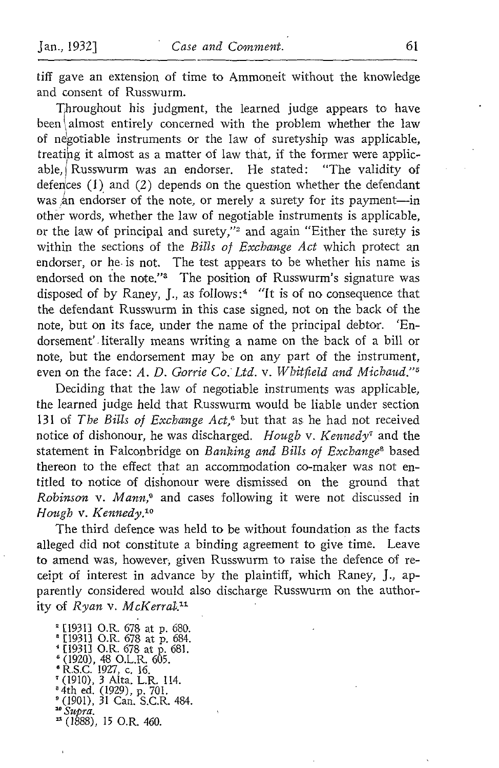tiff gave an extension of time to Ammoneit without the knowledge and consent of Russwurm.

Throughout his judgment, the learned judge appears to have been $\lambda$ lmost entirely concerned with the problem whether the law of negotiable instruments or the law of suretyship was applicable, treating it almost as a matter of law that, if the former were applicable, Russwurm was an endorser. He stated: "The validity of defences  $(1)$  and  $(2)$  depends on the question whether the defendant was an endorser of the note, or merely a surety for its payment-in other words, whether the law of negotiable instruments is applicable, or the law of principal and surety," and again "Either the surety is within the sections of the Bills of Exchange Act which protect an endorser, or he is not. The test appears to be whether his name is endorsed on the note."<sup>3</sup> The position of Russwurm's signature was disposed of by Raney,  $\left[ \cdot \right]$ , as follows:<sup>4</sup> "It is of no consequence that defendes (1) and (2) depends on the quatity of defendent (1) and (2) depends on the quasity of was an endorser of the note, or merely a surety for its payment—in other words, whether the law of negotiable instruments is a the defendant Russwurm in this case signed, not on the back of the note, but on its face, under the name of the principal debtor. 'Endorsement'-literally means writing a name on the back of a bill or note, but the endorsement may be on any part of the instrument, even on the face: A. D. Gorrie Co. Ltd. v. Whitfield and Michaud."<sup>5</sup>

Deciding that the law of negotiable instruments was applicable, the learned judge held that Russwurm would be liable under section 131 of The Bills of Exchange  $Act<sup>6</sup>$  but that as he had not received notice of dishonour, he was discharged. Hough v. Kennedy<sup> $\tau$ </sup> and the statement in Falconbridge on Banking and Bills of Exchange<sup>s</sup> based thereon to the effect that an accommodation co-maker was not entitled to notice of dishonour were dismissed on the ground that Robinson v. Mann,<sup>9</sup> and cases following it were not discussed in Hough v. Kennedy.<sup>10</sup>

The third defence was held to be without foundation as the facts alleged did not constitute a binding agreement to give time. Leave to amend was, however., given Russwurm to raise the defence of receipt of interest in advance by the plaintiff, which Raney, J., apparently considered would also discharge Russwurm on the authority of Ryan v. McKerral.<sup>11</sup>

<sup>2</sup> [1931] O.R. 678 at p. 680. \* [1931] O.R. 678 at p. 684.<br>\* [1931] O.R. 678 at p. 681.<br>\* (1920), 48 O.L.R. 605.<br>\* R S C 1927 c. 16  $\binom{6}{1010}$  R.S.C. 1927, c. 16. <sup>7</sup> (1910), 3 Alta. L.R. 114.<br>®4th ed. (1929), p. 701.<br>® (1901), 31 Can. S.C.R. 484.<br>® Sutra i° supra.  $\mu$  (1888), 15 O.R. 460.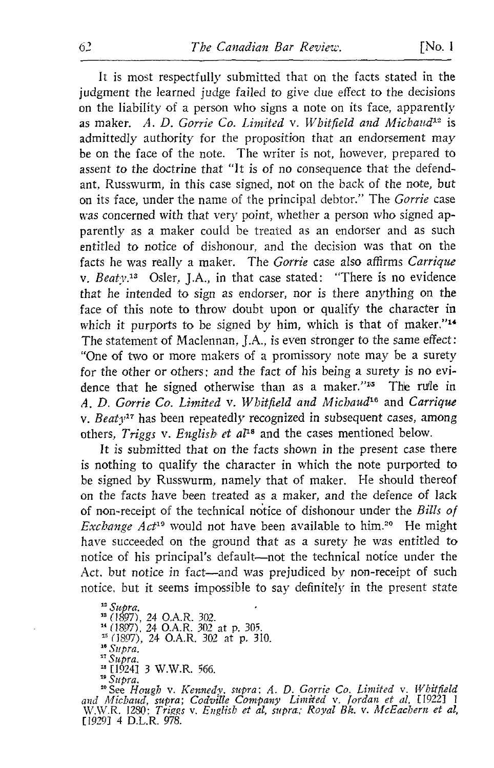It is most respectfully submitted that on the facts stated in the judgment the learned judge failed to give due effect to the decisions on the liability of <sup>a</sup> person who signs <sup>a</sup> note on its face, apparently as maker.  $A$ . D. Gorrie Co. Limited v. Whitfield and Michaud<sup>12</sup> is admittedly authority for the proposition that an endorsement may be on the face of the note. The writer is not, however, prepared to assent to the doctrine that "It is of no consequence that the defendant, Russwurm, in this case signed, not on the back of the note, but on its face, under the name of the principal debtor." The *Gorrie* case was concerned with that very point, whether a person who signed apparently as a maker could be treated as an endorser and as such entitled to notice of dishonour, and the decision was that on the facts he was really a maker. The Gorrie case also affirms Carrique v.  $Beatv.^{13}$  Osler, J.A., in that case stated: "There is no evidence that he intended to sign as endorser, nor is there anything on the face of this note to throw doubt upon or qualify the character in which it purports to be signed by him, which is that of maker."<sup>14</sup> The statement of Maclennan, J.A., is even stronger to the same effect : "One of two or more makers of <sup>a</sup> promissory note may be <sup>a</sup> surety for the other or others; and the fact of his being a surety is no evidence that he signed otherwise than as a maker."<sup>15</sup> The rule in A. D. Gorrie Co. Limited v. Whitfield and Michaud<sup>16</sup> and Carrique y. Beat $y^{17}$  has been repeatedly recognized in subsequent cases, among others, Triggs v. English et  $aI^{18}$  and the cases mentioned below.

It is submitted that on the facts shown in the present case there is nothing to qualify the character in which the note purported to be signed by Russwurm, namely that of maker. He should thereof on the facts have been treated as a maker, and the defence of lack of non-receipt of the technical notice of dishonour under the Bills of Exchange  $Act^{19}$  would not have been available to him.<sup>20</sup> He might have succeeded on the ground that as a surety he was entitled to notice of his principal's default-not the technical notice under the Act, but notice in fact—and was prejudiced by non-receipt of such notice, but it seems impossible to say definitely in the present state

<sup>12</sup> Supra.  $^{13}$  (1897), 24 O.A.R. 302.<br> $^{14}$  (1907), 24 O.A.P. 302. <sup>14</sup> (1897), 24 O.A.R. 302 at p. 305.<br><sup>15</sup> (1997), 24 O.A.B. 202 at p. 316  $^{15}$  (1897), 24 O.A.R. 302 at p. 310. <sup>16</sup> Supra. <sup>17</sup> Supra.  $15$  [1924] 3 W.W.R. 566. <sup>19</sup> Supra.

<sup>20</sup> See Hough v. Kennedy, supra; A. D. Gorrie Co. Limited v. Whitfield and Michaud, supra; Codville Company Limited v. Jordan et al, [1922] 1<br>W.W.R. 1280; Triggs v. English et al, supra, Royal Bk. v. McEachern et al,<br>L1990 A.D.R. P. 938 [19291 <sup>4</sup> D.L.R. 978.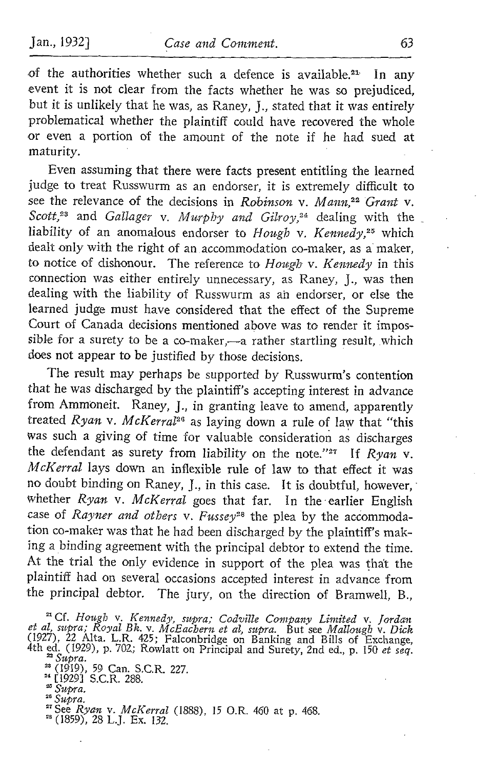of the authorities whether such a defence is available.<sup>21</sup> In any event it is not clear from the facts whether he was so prejudiced, but it is unlikely that he was, as Raney, J., stated that it was entirely problematical whether the plaintiff could have recovered the whole or even a portion of the amount of the note if he had sued at maturity.

Even assuming that there were facts present entitling the learned judge to treat Russwurm as an endorser, it is extremely difficult to see the relevance of the decisions in Robinson v. Mann.<sup>22</sup> Grant v. Scott,<sup>23</sup> and Gallager v. Murphy and Gilroy,<sup>24</sup> dealing with the liability of an anomalous endorser to Hough v. Kennedy,<sup>25</sup> which dealt only with the right of an accommodation co-maker, as a maker, to notice of dishonour. The reference to  $Hough$  v. Kennedy in this connection was either entirely unnecessary, as Raney, J., was then dealing with the liability of Russwurm as an endorser, or else the learned judge must have considered that the effect of the Supreme Court of Canada decisions mentioned above was to render it impossible for a surety to be a co-maker,—a rather startling result, which does not appear to be justified by those decisions.

The result may perhaps be supported by Russwurm's contention that he was discharged by the plaintiff's accepting interest in advance from Ammôneit. Raney, J., in granting leave to amend, apparently treated Ryan v. McKerral<sup>26</sup> as laying down a rule of law that "this was such <sup>a</sup> giving of time for valuable consideration as discharges the defendant as surety from liability on the note."<sup>27</sup> If  $Ryan$  v. McKerral lays down an inflexible rule of law to that effect it was no doubt binding on Raney, J., in this case. It is doubtful, however, whether Ryan v. McKerral goes that far. In the earlier English case of Rayner and others v. Fussey<sup>28</sup> the plea by the accommodation co-maker was that he had been discharged by the plaintiff's making a binding agreement with the principal debtor to extend the time. At the trial the only evidence in support of the plea was thât the plaintiff had on several occasions accepted interest in advance from the principal debtor. The jury, on the direction of Bramwell, B.,

Cf. Hough v. Kennedy, supra; Codville Company Limited v. Jordan et al, supra; Royal Bk. v. McEachern et al, supra. But see Mallough v. Dick<br>(1927), 22 Alta. L.R. 425; Falconbridge on Banking and Bills of Exchange,<br>4th ed. (1929), p. 702; Rowlatt on Principal and Surety, 2nd ed., p. 150

Supra. Za (1919), 59 Can. S.C.R . 227. <sup>24</sup> 119291 S.C.R. 288.

Supra.

<sup>26</sup> Supra.

<sup>27</sup> See Ryan v. McKerral (1888), 15 O.R. 460 at p. 468.

<sup>28</sup> (1859), 28 L.J. Ex. 132.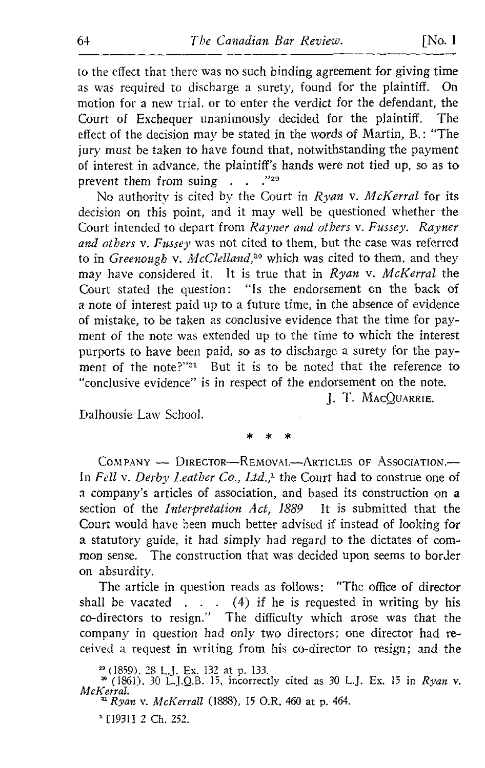to the effect that there was no such binding agreement for giving time as was required to discharge a surety, found for the plaintiff. On motion for a new trial, or to enter the verdict for the defendant, the Court of Exchequer unanimously decided for the plaintiff. The Court of Exchequer unanimously decided for the plaintiff. effect of the decision may be stated in the words of Martin, B.: "The jury must be taken to have found that, notwithstanding the payment of interest in advance, the plaintiff's hands were not tied up, so as to prevent them from suing  $\ldots$  . . . "29

No authority is cited by the Court in  $Ryan$  v. McKerral for its decision on this point, and it may well be questioned whether the Court intended to depart from Rayner and others v. Fussey. Rayner and others v. Fussey was not cited to them, but the case was referred to in Greenough v. McClelland,<sup>30</sup> which was cited to them, and they may have considered it. It is true that in Ryan v. McKerral the Court stated the question: "Is the endorsement on the back of a note of interest paid up to a future time, in the absence of evidence of mistake, to be taken as conclusive evidence that the time for payment of the note was extended up to the time to which the interest purports to have been paid, so as to discharge a surety for the payment of the note?"<sup>31</sup> But it is to be noted that the reference to "conclusive evidence" is in respect of the endorsement on the note.

I. T. MACQUARRIE.

Dalhousie Law School.

COMPANY - DIRECTOR-REMOVAL-ARTICLES OF ASSOCIATION. In Fell v. Derby Leather Co., Ltd., $<sup>1</sup>$  the Court had to construe one of</sup> <sup>a</sup> company's articles of association, and based its construction on a section of the *Interpretation Act*, 1889 It is submitted that the Court would have been much better advised if instead of looking for a statutory guide, it had simply had regard to the dictates of com mon sense. The construction that was decided upon seems to border on absurdity.

The article in question reads as follows: "The office of director shall be vacated  $\ldots$  (4) if he is requested in writing by his co-directors to resign." The difficulty which arose was that the company in question had only two directors; one director had received a request in writing from his co-director to resign; and the

<sup>29</sup> (1859), 28 L.J. Ex. 132 at p. 133.<br><sup>30</sup> (1861), 30 L.J.Q.B. 15, incorrectly cited as 30 L.J. Ex. 15 in *Ryan* v. McKerral.

<sup>31</sup> Ryan v. McKerrall (1888), 15 O.R. 460 at p. 464.

<sup>1</sup> [19311 2 Ch. 252.